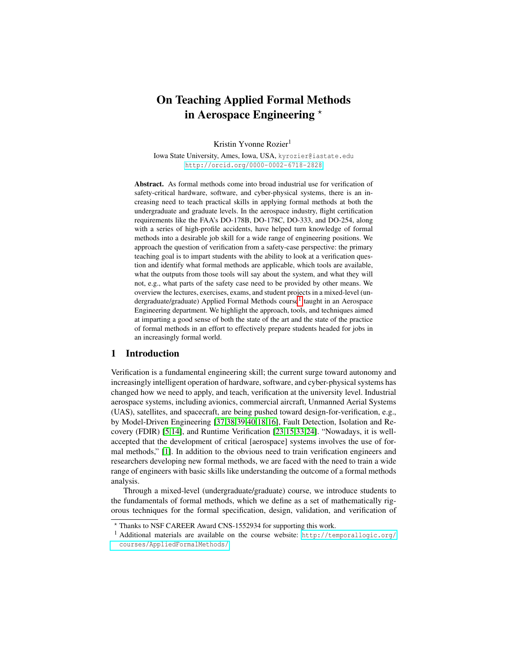# On Teaching Applied Formal Methods in Aerospace Engineering  $*$

Kristin Yvonne Rozier<sup>1</sup>

Iowa State University, Ames, Iowa, USA, kyrozier@iastate.edu <http://orcid.org/0000-0002-6718-2828>

Abstract. As formal methods come into broad industrial use for verification of safety-critical hardware, software, and cyber-physical systems, there is an increasing need to teach practical skills in applying formal methods at both the undergraduate and graduate levels. In the aerospace industry, flight certification requirements like the FAA's DO-178B, DO-178C, DO-333, and DO-254, along with a series of high-profile accidents, have helped turn knowledge of formal methods into a desirable job skill for a wide range of engineering positions. We approach the question of verification from a safety-case perspective: the primary teaching goal is to impart students with the ability to look at a verification question and identify what formal methods are applicable, which tools are available, what the outputs from those tools will say about the system, and what they will not, e.g., what parts of the safety case need to be provided by other means. We overview the lectures, exercises, exams, and student projects in a mixed-level (un-dergraduate/graduate) Applied Formal Methods course<sup>[1](#page-0-0)</sup> taught in an Aerospace Engineering department. We highlight the approach, tools, and techniques aimed at imparting a good sense of both the state of the art and the state of the practice of formal methods in an effort to effectively prepare students headed for jobs in an increasingly formal world.

# 1 Introduction

Verification is a fundamental engineering skill; the current surge toward autonomy and increasingly intelligent operation of hardware, software, and cyber-physical systems has changed how we need to apply, and teach, verification at the university level. Industrial aerospace systems, including avionics, commercial aircraft, Unmanned Aerial Systems (UAS), satellites, and spacecraft, are being pushed toward design-for-verification, e.g., by Model-Driven Engineering [\[37](#page-17-0)[,38](#page-17-1)[,39,](#page-17-2)[40,](#page-17-3)[18,](#page-16-0)[16\]](#page-16-1), Fault Detection, Isolation and Recovery (FDIR) [\[5,](#page-15-0)[14\]](#page-16-2), and Runtime Verification [\[23,](#page-16-3)[15,](#page-16-4)[33](#page-17-4)[,24\]](#page-16-5). "Nowadays, it is wellaccepted that the development of critical [aerospace] systems involves the use of formal methods," [\[1\]](#page-15-1). In addition to the obvious need to train verification engineers and researchers developing new formal methods, we are faced with the need to train a wide range of engineers with basic skills like understanding the outcome of a formal methods analysis.

Through a mixed-level (undergraduate/graduate) course, we introduce students to the fundamentals of formal methods, which we define as a set of mathematically rigorous techniques for the formal specification, design, validation, and verification of

<sup>?</sup> Thanks to NSF CAREER Award CNS-1552934 for supporting this work.

<span id="page-0-0"></span><sup>1</sup> Additional materials are available on the course website: [http://temporallogic.org/](http://temporallogic.org/courses/AppliedFormalMethods/) [courses/AppliedFormalMethods/](http://temporallogic.org/courses/AppliedFormalMethods/)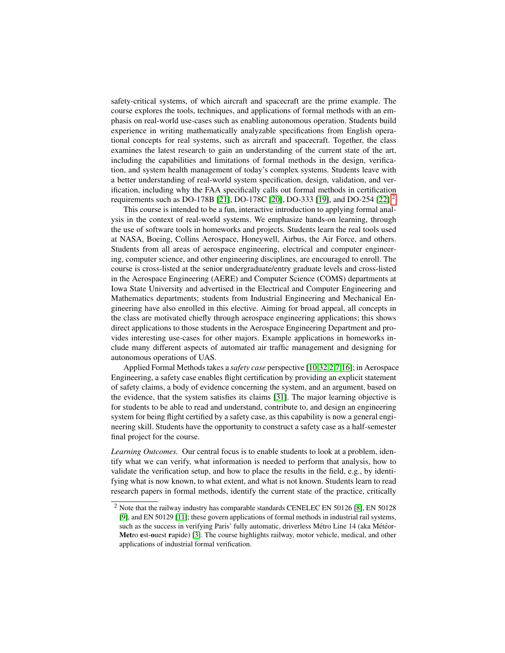safety-critical systems, of which aircraft and spacecraft are the prime example. The course explores the tools, techniques, and applications of formal methods with an emphasis on real-world use-cases such as enabling autonomous operation. Students build experience in writing mathematically analyzable specifications from English operational concepts for real systems, such as aircraft and spacecraft. Together, the class examines the latest research to gain an understanding of the current state of the art, including the capabilities and limitations of formal methods in the design, verification, and system health management of today's complex systems. Students leave with a better understanding of real-world system specification, design, validation, and verification, including why the FAA specifically calls out formal methods in certification requirements such as DO-178B [\[21\]](#page-16-6), DO-178C [\[20\]](#page-16-7), DO-333 [\[19\]](#page-16-8), and DO-254 [\[22\]](#page-16-9).[2](#page-1-0)

This course is intended to be a fun, interactive introduction to applying formal analysis in the context of real-world systems. We emphasize hands-on learning, through the use of software tools in homeworks and projects. Students learn the real tools used at NASA, Boeing, Collins Aerospace, Honeywell, Airbus, the Air Force, and others. Students from all areas of aerospace engineering, electrical and computer engineering, computer science, and other engineering disciplines, are encouraged to enroll. The course is cross-listed at the senior undergraduate/entry graduate levels and cross-listed in the Aerospace Engineering (AERE) and Computer Science (COMS) departments at Iowa State University and advertised in the Electrical and Computer Engineering and Mathematics departments; students from Industrial Engineering and Mechanical Engineering have also enrolled in this elective. Aiming for broad appeal, all concepts in the class are motivated chiefly through aerospace engineering applications; this shows direct applications to those students in the Aerospace Engineering Department and provides interesting use-cases for other majors. Example applications in homeworks include many different aspects of automated air traffic management and designing for autonomous operations of UAS.

Applied Formal Methods takes a *safety case* perspective [\[10](#page-16-10)[,32](#page-17-5)[,2](#page-15-2)[,7](#page-15-3)[,16\]](#page-16-1); in Aerospace Engineering, a safety case enables flight certification by providing an explicit statement of safety claims, a body of evidence concerning the system, and an argument, based on the evidence, that the system satisfies its claims [\[31\]](#page-17-6). The major learning objective is for students to be able to read and understand, contribute to, and design an engineering system for being flight certified by a safety case, as this capability is now a general engineering skill. Students have the opportunity to construct a safety case as a half-semester final project for the course.

*Learning Outcomes.* Our central focus is to enable students to look at a problem, identify what we can verify, what information is needed to perform that analysis, how to validate the verification setup, and how to place the results in the field, e.g., by identifying what is now known, to what extent, and what is not known. Students learn to read research papers in formal methods, identify the current state of the practice, critically

<span id="page-1-0"></span><sup>&</sup>lt;sup>2</sup> Note that the railway industry has comparable standards CENELEC EN 50126 [\[8\]](#page-15-4), EN 50128 [\[9\]](#page-15-5), and EN 50129 [\[11\]](#page-16-11); these govern applications of formal methods in industrial rail systems, such as the success in verifying Paris' fully automatic, driverless Métro Line 14 (aka Météor-Metro est-ouest rapide) [\[3\]](#page-15-6). The course highlights railway, motor vehicle, medical, and other applications of industrial formal verification.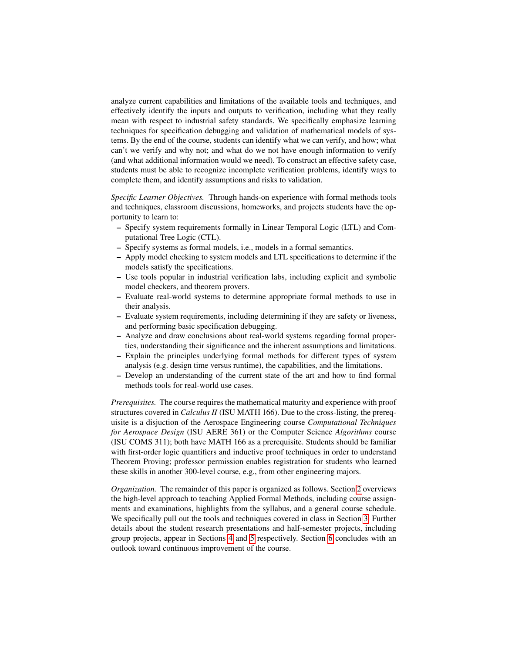analyze current capabilities and limitations of the available tools and techniques, and effectively identify the inputs and outputs to verification, including what they really mean with respect to industrial safety standards. We specifically emphasize learning techniques for specification debugging and validation of mathematical models of systems. By the end of the course, students can identify what we can verify, and how; what can't we verify and why not; and what do we not have enough information to verify (and what additional information would we need). To construct an effective safety case, students must be able to recognize incomplete verification problems, identify ways to complete them, and identify assumptions and risks to validation.

*Specific Learner Objectives.* Through hands-on experience with formal methods tools and techniques, classroom discussions, homeworks, and projects students have the opportunity to learn to:

- Specify system requirements formally in Linear Temporal Logic (LTL) and Computational Tree Logic (CTL).
- Specify systems as formal models, i.e., models in a formal semantics.
- Apply model checking to system models and LTL specifications to determine if the models satisfy the specifications.
- Use tools popular in industrial verification labs, including explicit and symbolic model checkers, and theorem provers.
- Evaluate real-world systems to determine appropriate formal methods to use in their analysis.
- Evaluate system requirements, including determining if they are safety or liveness, and performing basic specification debugging.
- Analyze and draw conclusions about real-world systems regarding formal properties, understanding their significance and the inherent assumptions and limitations.
- Explain the principles underlying formal methods for different types of system analysis (e.g. design time versus runtime), the capabilities, and the limitations.
- Develop an understanding of the current state of the art and how to find formal methods tools for real-world use cases.

*Prerequisites.* The course requires the mathematical maturity and experience with proof structures covered in *Calculus II* (ISU MATH 166). Due to the cross-listing, the prerequisite is a disjuction of the Aerospace Engineering course *Computational Techniques for Aerospace Design* (ISU AERE 361) or the Computer Science *Algorithms* course (ISU COMS 311); both have MATH 166 as a prerequisite. Students should be familiar with first-order logic quantifiers and inductive proof techniques in order to understand Theorem Proving; professor permission enables registration for students who learned these skills in another 300-level course, e.g., from other engineering majors.

*Organization.* The remainder of this paper is organized as follows. Section [2](#page-3-0) overviews the high-level approach to teaching Applied Formal Methods, including course assignments and examinations, highlights from the syllabus, and a general course schedule. We specifically pull out the tools and techniques covered in class in Section [3.](#page-5-0) Further details about the student research presentations and half-semester projects, including group projects, appear in Sections [4](#page-7-0) and [5](#page-9-0) respectively. Section [6](#page-13-0) concludes with an outlook toward continuous improvement of the course.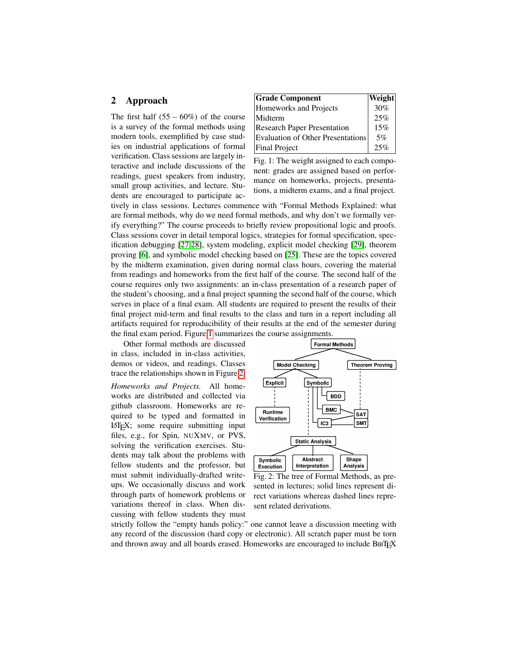### <span id="page-3-0"></span>2 Approach

The first half  $(55 - 60\%)$  of the course is a survey of the formal methods using modern tools, exemplified by case studies on industrial applications of formal verification. Class sessions are largely interactive and include discussions of the readings, guest speakers from industry, small group activities, and lecture. Students are encouraged to participate ac-

| <b>Grade Component</b>             | <b>Weight</b> |
|------------------------------------|---------------|
| Homeworks and Projects             | 30%           |
| Midterm                            | 25%           |
| <b>Research Paper Presentation</b> | 15%           |
| Evaluation of Other Presentations  | 5%            |
| Final Project                      | 25%           |

<span id="page-3-1"></span>Fig. 1: The weight assigned to each component: grades are assigned based on performance on homeworks, projects, presentations, a midterm exams, and a final project.

tively in class sessions. Lectures commence with "Formal Methods Explained: what are formal methods, why do we need formal methods, and why don't we formally verify everything?" The course proceeds to briefly review propositional logic and proofs. Class sessions cover in detail temporal logics, strategies for formal specification, specification debugging [\[27,](#page-17-7)[28\]](#page-17-8), system modeling, explicit model checking [\[29\]](#page-17-9), theorem proving [\[6\]](#page-15-7), and symbolic model checking based on [\[25\]](#page-17-10). These are the topics covered by the midterm examination, given during normal class hours, covering the material from readings and homeworks from the first half of the course. The second half of the course requires only two assignments: an in-class presentation of a research paper of the student's choosing, and a final project spanning the second half of the course, which serves in place of a final exam. All students are required to present the results of their final project mid-term and final results to the class and turn in a report including all artifacts required for reproducibility of their results at the end of the semester during the final exam period. Figure [1](#page-3-1) summarizes the course assignments.

Other formal methods are discussed in class, included in in-class activities, demos or videos, and readings. Classes trace the relationships shown in Figure [2.](#page-3-2)

*Homeworks and Projects.* All homeworks are distributed and collected via github classroom. Homeworks are required to be typed and formatted in LATEX; some require submitting input files, e.g., for Spin, NUXMV, or PVS, solving the verification exercises. Students may talk about the problems with fellow students and the professor, but must submit individually-drafted writeups. We occasionally discuss and work through parts of homework problems or variations thereof in class. When discussing with fellow students they must

<span id="page-3-2"></span>

Fig. 2: The tree of Formal Methods, as presented in lectures; solid lines represent direct variations whereas dashed lines represent related derivations.

strictly follow the "empty hands policy:" one cannot leave a discussion meeting with any record of the discussion (hard copy or electronic). All scratch paper must be torn and thrown away and all boards erased. Homeworks are encouraged to include BIBTFX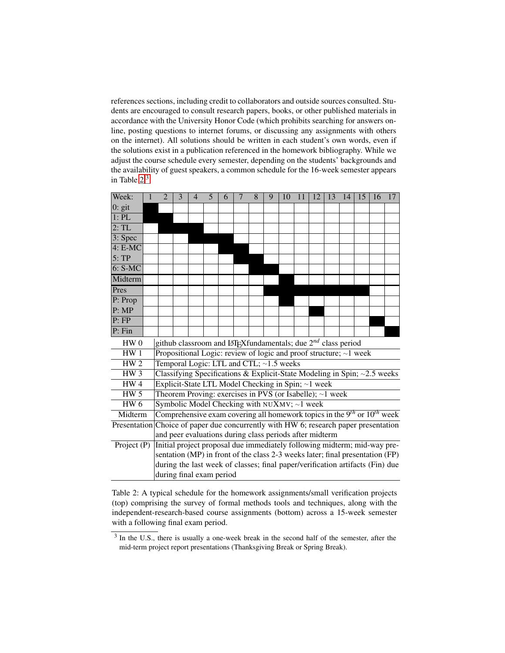references sections, including credit to collaborators and outside sources consulted. Students are encouraged to consult research papers, books, or other published materials in accordance with the University Honor Code (which prohibits searching for answers online, posting questions to internet forums, or discussing any assignments with others on the internet). All solutions should be written in each student's own words, even if the solutions exist in a publication referenced in the homework bibliography. While we adjust the course schedule every semester, depending on the students' backgrounds and the availability of guest speakers, a common schedule for the 16-week semester appears in Table [2.](#page-4-0)[3](#page-4-1)

<span id="page-4-0"></span>

| Week:                                                                                                     |                                                                                      | $\mathfrak{D}$                                                                              | 3 | 4 | 5 | 6 | 7 | 8 | 9 | 10 | 11 | 12 | 13 | 14 | 15 | 16 | 17 |
|-----------------------------------------------------------------------------------------------------------|--------------------------------------------------------------------------------------|---------------------------------------------------------------------------------------------|---|---|---|---|---|---|---|----|----|----|----|----|----|----|----|
| $0:$ git                                                                                                  |                                                                                      |                                                                                             |   |   |   |   |   |   |   |    |    |    |    |    |    |    |    |
| $1:$ PL                                                                                                   |                                                                                      |                                                                                             |   |   |   |   |   |   |   |    |    |    |    |    |    |    |    |
| 2:TL                                                                                                      |                                                                                      |                                                                                             |   |   |   |   |   |   |   |    |    |    |    |    |    |    |    |
| 3: Spec                                                                                                   |                                                                                      |                                                                                             |   |   |   |   |   |   |   |    |    |    |    |    |    |    |    |
| 4: E-MC                                                                                                   |                                                                                      |                                                                                             |   |   |   |   |   |   |   |    |    |    |    |    |    |    |    |
| 5:TP                                                                                                      |                                                                                      |                                                                                             |   |   |   |   |   |   |   |    |    |    |    |    |    |    |    |
| $6: S-MC$                                                                                                 |                                                                                      |                                                                                             |   |   |   |   |   |   |   |    |    |    |    |    |    |    |    |
| Midterm                                                                                                   |                                                                                      |                                                                                             |   |   |   |   |   |   |   |    |    |    |    |    |    |    |    |
| Pres                                                                                                      |                                                                                      |                                                                                             |   |   |   |   |   |   |   |    |    |    |    |    |    |    |    |
| P: Prop                                                                                                   |                                                                                      |                                                                                             |   |   |   |   |   |   |   |    |    |    |    |    |    |    |    |
| $\overline{P}$ : MP                                                                                       |                                                                                      |                                                                                             |   |   |   |   |   |   |   |    |    |    |    |    |    |    |    |
| P: FP                                                                                                     |                                                                                      |                                                                                             |   |   |   |   |   |   |   |    |    |    |    |    |    |    |    |
| P: Fin                                                                                                    |                                                                                      |                                                                                             |   |   |   |   |   |   |   |    |    |    |    |    |    |    |    |
| HW <sub>0</sub>                                                                                           |                                                                                      | github classroom and L <sup>3</sup> T <sub>F</sub> Xfundamentals; due $2^{nd}$ class period |   |   |   |   |   |   |   |    |    |    |    |    |    |    |    |
| HW <sub>1</sub>                                                                                           |                                                                                      | Propositional Logic: review of logic and proof structure; $\sim$ 1 week                     |   |   |   |   |   |   |   |    |    |    |    |    |    |    |    |
| HW <sub>2</sub>                                                                                           |                                                                                      | Temporal Logic: LTL and CTL; ~1.5 weeks                                                     |   |   |   |   |   |   |   |    |    |    |    |    |    |    |    |
| HW3                                                                                                       |                                                                                      | Classifying Specifications & Explicit-State Modeling in Spin; $\sim$ 2.5 weeks              |   |   |   |   |   |   |   |    |    |    |    |    |    |    |    |
| HW4                                                                                                       |                                                                                      | Explicit-State LTL Model Checking in Spin; ~1 week                                          |   |   |   |   |   |   |   |    |    |    |    |    |    |    |    |
| HW <sub>5</sub>                                                                                           |                                                                                      | Theorem Proving: exercises in PVS (or Isabelle); $\sim$ 1 week                              |   |   |   |   |   |   |   |    |    |    |    |    |    |    |    |
| HW <sub>6</sub>                                                                                           |                                                                                      | Symbolic Model Checking with NUXMV; ~1 week                                                 |   |   |   |   |   |   |   |    |    |    |    |    |    |    |    |
| Midterm                                                                                                   |                                                                                      | Comprehensive exam covering all homework topics in the $9th$ or $10th$ week                 |   |   |   |   |   |   |   |    |    |    |    |    |    |    |    |
|                                                                                                           | Presentation Choice of paper due concurrently with HW 6; research paper presentation |                                                                                             |   |   |   |   |   |   |   |    |    |    |    |    |    |    |    |
|                                                                                                           | and peer evaluations during class periods after midterm                              |                                                                                             |   |   |   |   |   |   |   |    |    |    |    |    |    |    |    |
| Project $(P)$                                                                                             |                                                                                      | Initial project proposal due immediately following midterm; mid-way pre-                    |   |   |   |   |   |   |   |    |    |    |    |    |    |    |    |
|                                                                                                           |                                                                                      | sentation (MP) in front of the class 2-3 weeks later; final presentation (FP)               |   |   |   |   |   |   |   |    |    |    |    |    |    |    |    |
| during the last week of classes; final paper/verification artifacts (Fin) due<br>during final exam period |                                                                                      |                                                                                             |   |   |   |   |   |   |   |    |    |    |    |    |    |    |    |
|                                                                                                           |                                                                                      |                                                                                             |   |   |   |   |   |   |   |    |    |    |    |    |    |    |    |

Table 2: A typical schedule for the homework assignments/small verification projects (top) comprising the survey of formal methods tools and techniques, along with the independent-research-based course assignments (bottom) across a 15-week semester with a following final exam period.

<span id="page-4-1"></span> $3$  In the U.S., there is usually a one-week break in the second half of the semester, after the mid-term project report presentations (Thanksgiving Break or Spring Break).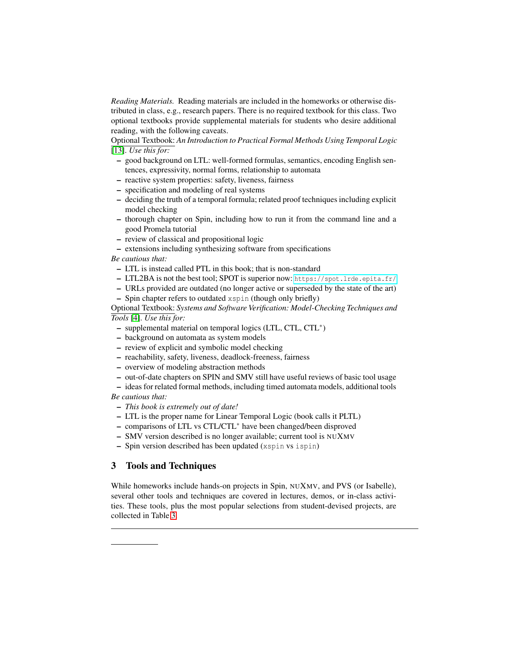*Reading Materials.* Reading materials are included in the homeworks or otherwise distributed in class, e.g., research papers. There is no required textbook for this class. Two optional textbooks provide supplemental materials for students who desire additional reading, with the following caveats.

Optional Textbook: *An Introduction to Practical Formal Methods Using Temporal Logic* [\[13\]](#page-16-12). *Use this for:*

- good background on LTL: well-formed formulas, semantics, encoding English sentences, expressivity, normal forms, relationship to automata
- reactive system properties: safety, liveness, fairness
- specification and modeling of real systems
- deciding the truth of a temporal formula; related proof techniques including explicit model checking
- thorough chapter on Spin, including how to run it from the command line and a good Promela tutorial
- review of classical and propositional logic
- extensions including synthesizing software from specifications

*Be cautious that:*

- LTL is instead called PTL in this book; that is non-standard
- LTL2BA is not the best tool; SPOT is superior now: <https://spot.lrde.epita.fr/>
- URLs provided are outdated (no longer active or superseded by the state of the art)
- Spin chapter refers to outdated xspin (though only briefly)

Optional Textbook: *Systems and Software Verification: Model-Checking Techniques and Tools* [\[4\]](#page-15-8). *Use this for:*

- supplemental material on temporal logics (LTL, CTL, CTL<sup>∗</sup> )
- background on automata as system models
- review of explicit and symbolic model checking
- reachability, safety, liveness, deadlock-freeness, fairness
- overview of modeling abstraction methods
- out-of-date chapters on SPIN and SMV still have useful reviews of basic tool usage
- ideas for related formal methods, including timed automata models, additional tools

*Be cautious that:*

- *This book is extremely out of date!*
- LTL is the proper name for Linear Temporal Logic (book calls it PLTL)
- comparisons of LTL vs CTL/CTL<sup>∗</sup> have been changed/been disproved
- SMV version described is no longer available; current tool is NUXMV
- Spin version described has been updated (xspin vs ispin)

# <span id="page-5-0"></span>3 Tools and Techniques

<span id="page-5-1"></span>While homeworks include hands-on projects in Spin, NUXMV, and PVS (or Isabelle), several other tools and techniques are covered in lectures, demos, or in-class activities. These tools, plus the most popular selections from student-devised projects, are collected in Table [3.](#page-5-1)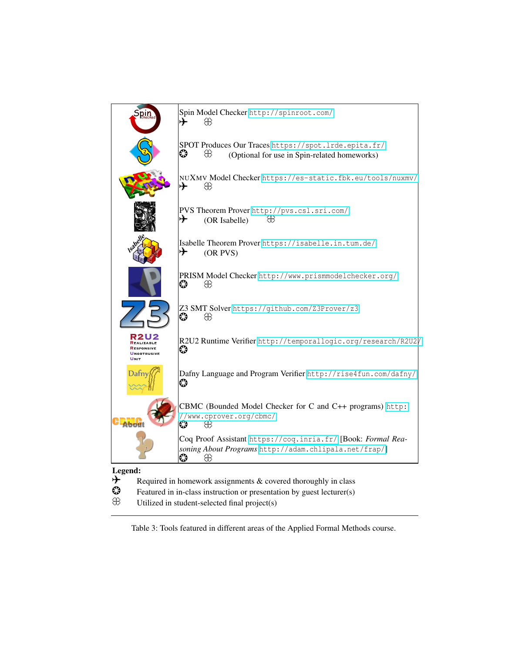

Utilized in student-selected final project(s)

Table 3: Tools featured in different areas of the Applied Formal Methods course.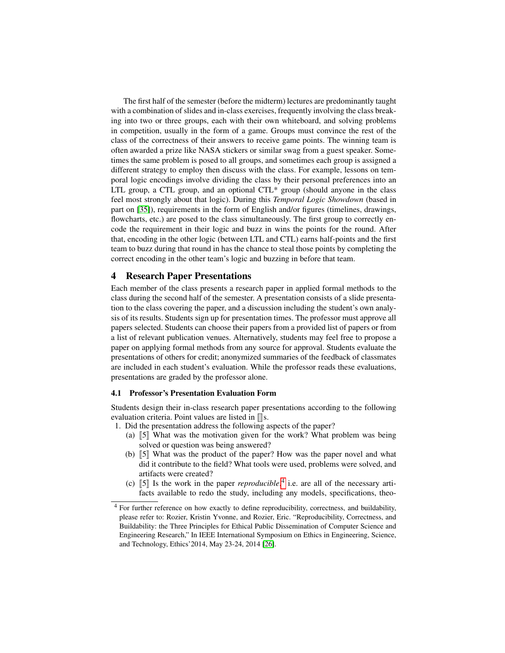The first half of the semester (before the midterm) lectures are predominantly taught with a combination of slides and in-class exercises, frequently involving the class breaking into two or three groups, each with their own whiteboard, and solving problems in competition, usually in the form of a game. Groups must convince the rest of the class of the correctness of their answers to receive game points. The winning team is often awarded a prize like NASA stickers or similar swag from a guest speaker. Sometimes the same problem is posed to all groups, and sometimes each group is assigned a different strategy to employ then discuss with the class. For example, lessons on temporal logic encodings involve dividing the class by their personal preferences into an LTL group, a CTL group, and an optional  $\text{CTL}^*$  group (should anyone in the class feel most strongly about that logic). During this *Temporal Logic Showdown* (based in part on [\[35\]](#page-17-11)), requirements in the form of English and/or figures (timelines, drawings, flowcharts, etc.) are posed to the class simultaneously. The first group to correctly encode the requirement in their logic and buzz in wins the points for the round. After that, encoding in the other logic (between LTL and CTL) earns half-points and the first team to buzz during that round in has the chance to steal those points by completing the correct encoding in the other team's logic and buzzing in before that team.

# <span id="page-7-0"></span>4 Research Paper Presentations

Each member of the class presents a research paper in applied formal methods to the class during the second half of the semester. A presentation consists of a slide presentation to the class covering the paper, and a discussion including the student's own analysis of its results. Students sign up for presentation times. The professor must approve all papers selected. Students can choose their papers from a provided list of papers or from a list of relevant publication venues. Alternatively, students may feel free to propose a paper on applying formal methods from any source for approval. Students evaluate the presentations of others for credit; anonymized summaries of the feedback of classmates are included in each student's evaluation. While the professor reads these evaluations, presentations are graded by the professor alone.

#### 4.1 Professor's Presentation Evaluation Form

Students design their in-class research paper presentations according to the following evaluation criteria. Point values are listed in  $\mathbb{I}$ s.

- 1. Did the presentation address the following aspects of the paper?
	- (a)  $\llbracket 5\rrbracket$  What was the motivation given for the work? What problem was being solved or question was being answered?
	- (b)  $\|5\|$  What was the product of the paper? How was the paper novel and what did it contribute to the field? What tools were used, problems were solved, and artifacts were created?
	- (c)  $\begin{bmatrix} 5 \end{bmatrix}$  Is the work in the paper *reproducible*,<sup>[4](#page-7-1)</sup> i.e. are all of the necessary arti-<br>facts available to redo the study including any models specifications theo facts available to redo the study, including any models, specifications, theo-

<span id="page-7-1"></span><sup>&</sup>lt;sup>4</sup> For further reference on how exactly to define reproducibility, correctness, and buildability, please refer to: Rozier, Kristin Yvonne, and Rozier, Eric. "Reproducibility, Correctness, and Buildability: the Three Principles for Ethical Public Dissemination of Computer Science and Engineering Research," In IEEE International Symposium on Ethics in Engineering, Science, and Technology, Ethics'2014, May 23-24, 2014 [\[26\]](#page-17-12).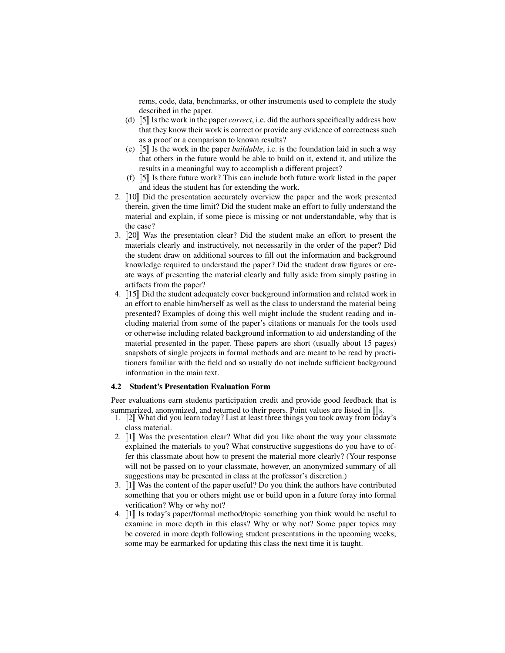rems, code, data, benchmarks, or other instruments used to complete the study described in the paper.

- (d)  $\|5\|$  Is the work in the paper *correct*, i.e. did the authors specifically address how that they know their work is correct or provide any evidence of correctness such as a proof or a comparison to known results?
- (e)  $\llbracket 5 \rrbracket$  Is the work in the paper *buildable*, i.e. is the foundation laid in such a way that others in the future would be able to build on it, extend it, and utilize the results in a meaningful way to accomplish a different project?
- (f)  $\|5\|$  Is there future work? This can include both future work listed in the paper and ideas the student has for extending the work.
- 2.  $\llbracket 10\rrbracket$  Did the presentation accurately overview the paper and the work presented therein, given the time limit? Did the student make an effort to fully understand the material and explain, if some piece is missing or not understandable, why that is the case?
- 3. [20] Was the presentation clear? Did the student make an effort to present the materials clearly and instructively, not necessarily in the order of the paper? Did the student draw on additional sources to fill out the information and background knowledge required to understand the paper? Did the student draw figures or create ways of presenting the material clearly and fully aside from simply pasting in artifacts from the paper?
- 4.  $\|15\|$  Did the student adequately cover background information and related work in an effort to enable him/herself as well as the class to understand the material being presented? Examples of doing this well might include the student reading and including material from some of the paper's citations or manuals for the tools used or otherwise including related background information to aid understanding of the material presented in the paper. These papers are short (usually about 15 pages) snapshots of single projects in formal methods and are meant to be read by practitioners familiar with the field and so usually do not include sufficient background information in the main text.

#### 4.2 Student's Presentation Evaluation Form

Peer evaluations earn students participation credit and provide good feedback that is summarized, anonymized, and returned to their peers. Point values are listed in  $\mathbb{I}$ s.

- 1.  $\mathbb{Z}$  What did you learn today? List at least three things you took away from today's class material.
- 2.  $\llbracket 1 \rrbracket$  Was the presentation clear? What did you like about the way your classmate explained the materials to you? What constructive suggestions do you have to offer this classmate about how to present the material more clearly? (Your response will not be passed on to your classmate, however, an anonymized summary of all suggestions may be presented in class at the professor's discretion.)
- 3.  $\llbracket 1 \rrbracket$  Was the content of the paper useful? Do you think the authors have contributed something that you or others might use or build upon in a future foray into formal verification? Why or why not?
- 4.  $\llbracket 1 \rrbracket$  Is today's paper/formal method/topic something you think would be useful to examine in more depth in this class? Why or why not? Some paper topics may be covered in more depth following student presentations in the upcoming weeks; some may be earmarked for updating this class the next time it is taught.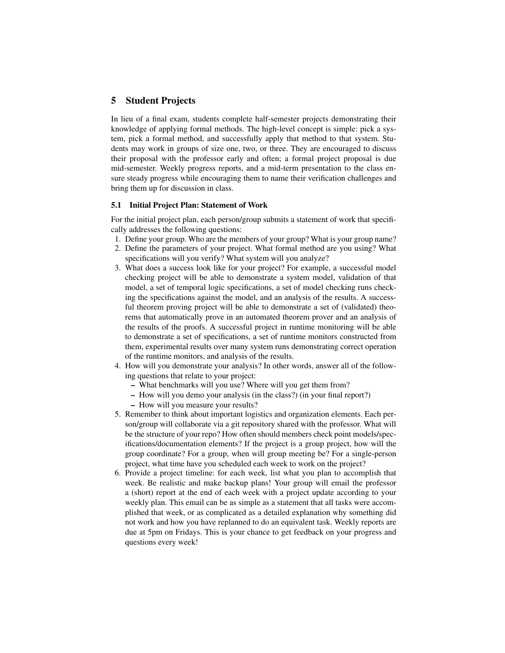# <span id="page-9-0"></span>5 Student Projects

In lieu of a final exam, students complete half-semester projects demonstrating their knowledge of applying formal methods. The high-level concept is simple: pick a system, pick a formal method, and successfully apply that method to that system. Students may work in groups of size one, two, or three. They are encouraged to discuss their proposal with the professor early and often; a formal project proposal is due mid-semester. Weekly progress reports, and a mid-term presentation to the class ensure steady progress while encouraging them to name their verification challenges and bring them up for discussion in class.

#### 5.1 Initial Project Plan: Statement of Work

For the initial project plan, each person/group submits a statement of work that specifically addresses the following questions:

- 1. Define your group. Who are the members of your group? What is your group name?
- 2. Define the parameters of your project. What formal method are you using? What specifications will you verify? What system will you analyze?
- 3. What does a success look like for your project? For example, a successful model checking project will be able to demonstrate a system model, validation of that model, a set of temporal logic specifications, a set of model checking runs checking the specifications against the model, and an analysis of the results. A successful theorem proving project will be able to demonstrate a set of (validated) theorems that automatically prove in an automated theorem prover and an analysis of the results of the proofs. A successful project in runtime monitoring will be able to demonstrate a set of specifications, a set of runtime monitors constructed from them, experimental results over many system runs demonstrating correct operation of the runtime monitors, and analysis of the results.
- 4. How will you demonstrate your analysis? In other words, answer all of the following questions that relate to your project:
	- What benchmarks will you use? Where will you get them from?
	- How will you demo your analysis (in the class?) (in your final report?)
	- How will you measure your results?
- 5. Remember to think about important logistics and organization elements. Each person/group will collaborate via a git repository shared with the professor. What will be the structure of your repo? How often should members check point models/specifications/documentation elements? If the project is a group project, how will the group coordinate? For a group, when will group meeting be? For a single-person project, what time have you scheduled each week to work on the project?
- 6. Provide a project timeline: for each week, list what you plan to accomplish that week. Be realistic and make backup plans! Your group will email the professor a (short) report at the end of each week with a project update according to your weekly plan. This email can be as simple as a statement that all tasks were accomplished that week, or as complicated as a detailed explanation why something did not work and how you have replanned to do an equivalent task. Weekly reports are due at 5pm on Fridays. This is your chance to get feedback on your progress and questions every week!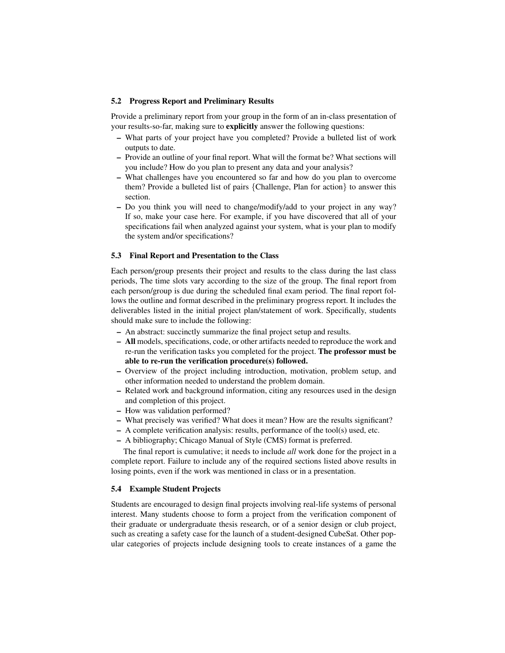#### 5.2 Progress Report and Preliminary Results

Provide a preliminary report from your group in the form of an in-class presentation of your results-so-far, making sure to explicitly answer the following questions:

- What parts of your project have you completed? Provide a bulleted list of work outputs to date.
- Provide an outline of your final report. What will the format be? What sections will you include? How do you plan to present any data and your analysis?
- What challenges have you encountered so far and how do you plan to overcome them? Provide a bulleted list of pairs {Challenge, Plan for action} to answer this section.
- Do you think you will need to change/modify/add to your project in any way? If so, make your case here. For example, if you have discovered that all of your specifications fail when analyzed against your system, what is your plan to modify the system and/or specifications?

# 5.3 Final Report and Presentation to the Class

Each person/group presents their project and results to the class during the last class periods, The time slots vary according to the size of the group. The final report from each person/group is due during the scheduled final exam period. The final report follows the outline and format described in the preliminary progress report. It includes the deliverables listed in the initial project plan/statement of work. Specifically, students should make sure to include the following:

- An abstract: succinctly summarize the final project setup and results.
- All models, specifications, code, or other artifacts needed to reproduce the work and re-run the verification tasks you completed for the project. The professor must be able to re-run the verification procedure(s) followed.
- Overview of the project including introduction, motivation, problem setup, and other information needed to understand the problem domain.
- Related work and background information, citing any resources used in the design and completion of this project.
- How was validation performed?
- What precisely was verified? What does it mean? How are the results significant?
- A complete verification analysis: results, performance of the tool(s) used, etc.
- A bibliography; Chicago Manual of Style (CMS) format is preferred.

The final report is cumulative; it needs to include *all* work done for the project in a complete report. Failure to include any of the required sections listed above results in losing points, even if the work was mentioned in class or in a presentation.

#### 5.4 Example Student Projects

Students are encouraged to design final projects involving real-life systems of personal interest. Many students choose to form a project from the verification component of their graduate or undergraduate thesis research, or of a senior design or club project, such as creating a safety case for the launch of a student-designed CubeSat. Other popular categories of projects include designing tools to create instances of a game the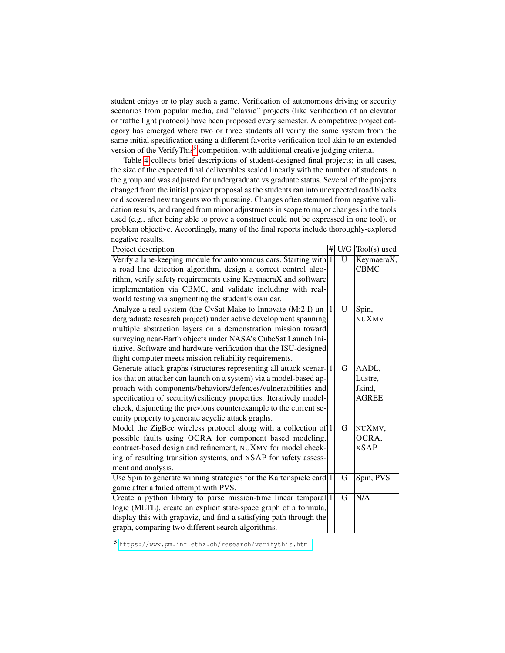student enjoys or to play such a game. Verification of autonomous driving or security scenarios from popular media, and "classic" projects (like verification of an elevator or traffic light protocol) have been proposed every semester. A competitive project category has emerged where two or three students all verify the same system from the same initial specification using a different favorite verification tool akin to an extended version of the VerifyThis<sup>[5](#page-11-0)</sup> competition, with additional creative judging criteria.

Table [4](#page-11-1) collects brief descriptions of student-designed final projects; in all cases, the size of the expected final deliverables scaled linearly with the number of students in the group and was adjusted for undergraduate vs graduate status. Several of the projects changed from the initial project proposal as the students ran into unexpected road blocks or discovered new tangents worth pursuing. Changes often stemmed from negative validation results, and ranged from minor adjustments in scope to major changes in the tools used (e.g., after being able to prove a construct could not be expressed in one tool), or problem objective. Accordingly, many of the final reports include thoroughly-explored negative results.

<span id="page-11-1"></span>

| Project description                                                   | #            |              | $U/G$ Tool(s) used |
|-----------------------------------------------------------------------|--------------|--------------|--------------------|
| Verify a lane-keeping module for autonomous cars. Starting with $ 1 $ |              | U            | KeymaeraX,         |
| a road line detection algorithm, design a correct control algo-       |              |              | <b>CBMC</b>        |
| rithm, verify safety requirements using KeymaeraX and software        |              |              |                    |
| implementation via CBMC, and validate including with real-            |              |              |                    |
| world testing via augmenting the student's own car.                   |              |              |                    |
| Analyze a real system (the CySat Make to Innovate $(M:2:1)$ un- $ 1$  |              | $\mathbf{U}$ | Spin,              |
| dergraduate research project) under active development spanning       |              |              | <b>NUXMV</b>       |
| multiple abstraction layers on a demonstration mission toward         |              |              |                    |
| surveying near-Earth objects under NASA's CubeSat Launch Ini-         |              |              |                    |
| tiative. Software and hardware verification that the ISU-designed     |              |              |                    |
| flight computer meets mission reliability requirements.               |              |              |                    |
| Generate attack graphs (structures representing all attack scenar-    | $\mathbf{1}$ | G            | AADL,              |
| ios that an attacker can launch on a system) via a model-based ap-    |              |              | Lustre,            |
| proach with components/behaviors/defences/vulneratbilities and        |              |              | Jkind,             |
| specification of security/resiliency properties. Iteratively model-   |              |              | <b>AGREE</b>       |
| check, disjuncting the previous counterexample to the current se-     |              |              |                    |
| curity property to generate acyclic attack graphs.                    |              |              |                    |
| Model the ZigBee wireless protocol along with a collection of $ 1 $   |              | G            | NUXMV,             |
| possible faults using OCRA for component based modeling,              |              |              | OCRA,              |
| contract-based design and refinement, NUXMV for model check-          |              |              | <b>xSAP</b>        |
| ing of resulting transition systems, and XSAP for safety assess-      |              |              |                    |
| ment and analysis.                                                    |              |              |                    |
| Use Spin to generate winning strategies for the Kartenspiele card 1   |              | G            | Spin, PVS          |
| game after a failed attempt with PVS.                                 |              |              |                    |
| Create a python library to parse mission-time linear temporal 1       |              | G            | N/A                |
| logic (MLTL), create an explicit state-space graph of a formula,      |              |              |                    |
| display this with graphviz, and find a satisfying path through the    |              |              |                    |
| graph, comparing two different search algorithms.                     |              |              |                    |

<span id="page-11-0"></span><sup>5</sup> <https://www.pm.inf.ethz.ch/research/verifythis.html>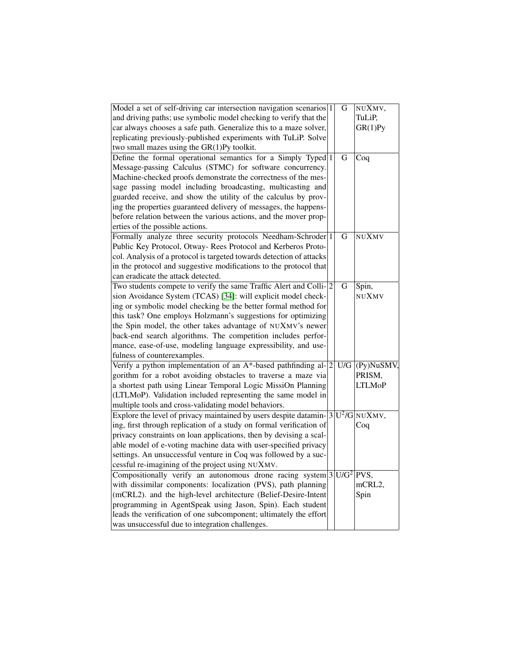| Model a set of self-driving car intersection navigation scenarios 1<br>and driving paths; use symbolic model checking to verify that the<br>car always chooses a safe path. Generalize this to a maze solver,<br>replicating previously-published experiments with TuLiP. Solve<br>two small mazes using the GR(1)Py toolkit.                                                                                                                                                                              | G | NUXMV,<br>TuLiP,<br>GR(1)Py                 |
|------------------------------------------------------------------------------------------------------------------------------------------------------------------------------------------------------------------------------------------------------------------------------------------------------------------------------------------------------------------------------------------------------------------------------------------------------------------------------------------------------------|---|---------------------------------------------|
| Define the formal operational semantics for a Simply Typed $ 1$<br>Message-passing Calculus (STMC) for software concurrency.<br>Machine-checked proofs demonstrate the correctness of the mes-<br>sage passing model including broadcasting, multicasting and<br>guarded receive, and show the utility of the calculus by prov-<br>ing the properties guaranteed delivery of messages, the happens-<br>before relation between the various actions, and the mover prop-<br>erties of the possible actions. | G | Coq                                         |
| Formally analyze three security protocols Needham-Schroder <sup>1</sup><br>Public Key Protocol, Otway- Rees Protocol and Kerberos Proto-<br>col. Analysis of a protocol is targeted towards detection of attacks<br>in the protocol and suggestive modifications to the protocol that<br>can eradicate the attack detected.                                                                                                                                                                                | G | NUXMV                                       |
| Two students compete to verify the same Traffic Alert and Colli-2<br>sion Avoidance System (TCAS) [34]: will explicit model check-<br>ing or symbolic model checking be the better formal method for<br>this task? One employs Holzmann's suggestions for optimizing<br>the Spin model, the other takes advantage of NUXMV's newer<br>back-end search algorithms. The competition includes perfor-<br>mance, ease-of-use, modeling language expressibility, and use-<br>fulness of counterexamples.        | G | Spin,<br>NUXMV                              |
| Verify a python implementation of an $A^*$ -based pathfinding al- $\sqrt{2}$<br>gorithm for a robot avoiding obstacles to traverse a maze via<br>a shortest path using Linear Temporal Logic MissiOn Planning<br>(LTLMoP). Validation included representing the same model in<br>multiple tools and cross-validating model behaviors.                                                                                                                                                                      |   | $U/G$ (Py)NuSMV,<br>PRISM,<br><b>LTLMoP</b> |
| Explore the level of privacy maintained by users despite datamin- $3 U^2/G NUXMV$ ,<br>ing, first through replication of a study on formal verification of<br>privacy constraints on loan applications, then by devising a scal-<br>able model of e-voting machine data with user-specified privacy<br>settings. An unsuccessful venture in Coq was followed by a suc-<br>cessful re-imagining of the project using NUXMV.                                                                                 |   | Coq                                         |
| Compositionally verify an autonomous drone racing system $3 U/G^2 PVS$ ,<br>with dissimilar components: localization (PVS), path planning<br>(mCRL2). and the high-level architecture (Belief-Desire-Intent<br>programming in AgentSpeak using Jason, Spin). Each student<br>leads the verification of one subcomponent; ultimately the effort<br>was unsuccessful due to integration challenges.                                                                                                          |   | mCRL2,<br>Spin                              |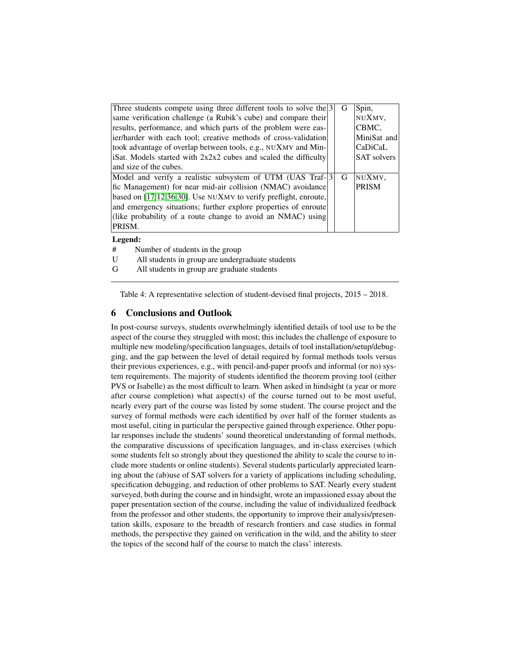| Three students compete using three different tools to solve the $3$   | G | Spin,              |
|-----------------------------------------------------------------------|---|--------------------|
| same verification challenge (a Rubik's cube) and compare their        |   | NUXMV,             |
| results, performance, and which parts of the problem were eas-        |   | CBMC.              |
| ier/harder with each tool; creative methods of cross-validation       |   | MiniSat and        |
| took advantage of overlap between tools, e.g., NUXMV and Min-         |   | CaDiCaL            |
| iSat. Models started with $2x2x2$ cubes and scaled the difficulty     |   | <b>SAT</b> solvers |
| and size of the cubes.                                                |   |                    |
| Model and verify a realistic subsystem of UTM (UAS Traf-3)            | G | NUXMV.             |
| fic Management) for near mid-air collision (NMAC) avoidance           |   | <b>PRISM</b>       |
| based on $[17, 12, 36, 30]$ . Use NUXMV to verify preflight, enroute, |   |                    |
| and emergency situations; further explore properties of enroute       |   |                    |
| (like probability of a route change to avoid an NMAC) using           |   |                    |
| PRISM.                                                                |   |                    |

#### Legend:

# Number of students in the group

U All students in group are undergraduate students

G All students in group are graduate students

Table 4: A representative selection of student-devised final projects, 2015 – 2018.

## <span id="page-13-0"></span>6 Conclusions and Outlook

In post-course surveys, students overwhelmingly identified details of tool use to be the aspect of the course they struggled with most; this includes the challenge of exposure to multiple new modeling/specification languages, details of tool installation/setup/debugging, and the gap between the level of detail required by formal methods tools versus their previous experiences, e.g., with pencil-and-paper proofs and informal (or no) system requirements. The majority of students identified the theorem proving tool (either PVS or Isabelle) as the most difficult to learn. When asked in hindsight (a year or more after course completion) what aspect(s) of the course turned out to be most useful, nearly every part of the course was listed by some student. The course project and the survey of formal methods were each identified by over half of the former students as most useful, citing in particular the perspective gained through experience. Other popular responses include the students' sound theoretical understanding of formal methods, the comparative discussions of specification languages, and in-class exercises (which some students felt so strongly about they questioned the ability to scale the course to include more students or online students). Several students particularly appreciated learning about the (ab)use of SAT solvers for a variety of applications including scheduling, specification debugging, and reduction of other problems to SAT. Nearly every student surveyed, both during the course and in hindsight, wrote an impassioned essay about the paper presentation section of the course, including the value of individualized feedback from the professor and other students, the opportunity to improve their analysis/presentation skills, exposure to the breadth of research frontiers and case studies in formal methods, the perspective they gained on verification in the wild, and the ability to steer the topics of the second half of the course to match the class' interests.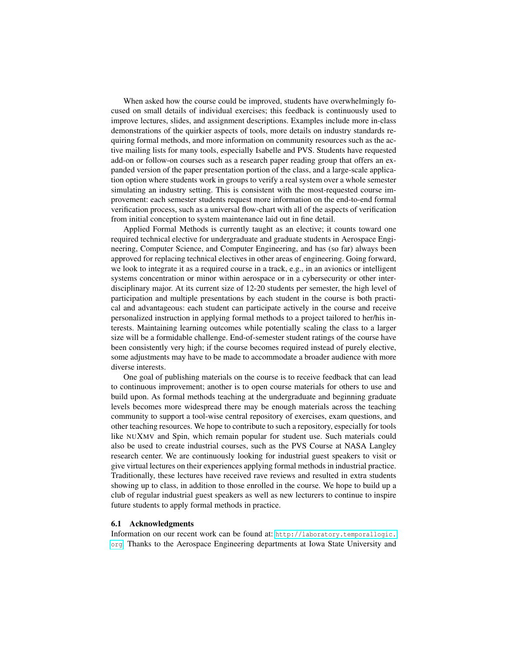When asked how the course could be improved, students have overwhelmingly focused on small details of individual exercises; this feedback is continuously used to improve lectures, slides, and assignment descriptions. Examples include more in-class demonstrations of the quirkier aspects of tools, more details on industry standards requiring formal methods, and more information on community resources such as the active mailing lists for many tools, especially Isabelle and PVS. Students have requested add-on or follow-on courses such as a research paper reading group that offers an expanded version of the paper presentation portion of the class, and a large-scale application option where students work in groups to verify a real system over a whole semester simulating an industry setting. This is consistent with the most-requested course improvement: each semester students request more information on the end-to-end formal verification process, such as a universal flow-chart with all of the aspects of verification from initial conception to system maintenance laid out in fine detail.

Applied Formal Methods is currently taught as an elective; it counts toward one required technical elective for undergraduate and graduate students in Aerospace Engineering, Computer Science, and Computer Engineering, and has (so far) always been approved for replacing technical electives in other areas of engineering. Going forward, we look to integrate it as a required course in a track, e.g., in an avionics or intelligent systems concentration or minor within aerospace or in a cybersecurity or other interdisciplinary major. At its current size of 12-20 students per semester, the high level of participation and multiple presentations by each student in the course is both practical and advantageous: each student can participate actively in the course and receive personalized instruction in applying formal methods to a project tailored to her/his interests. Maintaining learning outcomes while potentially scaling the class to a larger size will be a formidable challenge. End-of-semester student ratings of the course have been consistently very high; if the course becomes required instead of purely elective, some adjustments may have to be made to accommodate a broader audience with more diverse interests.

One goal of publishing materials on the course is to receive feedback that can lead to continuous improvement; another is to open course materials for others to use and build upon. As formal methods teaching at the undergraduate and beginning graduate levels becomes more widespread there may be enough materials across the teaching community to support a tool-wise central repository of exercises, exam questions, and other teaching resources. We hope to contribute to such a repository, especially for tools like NUXMV and Spin, which remain popular for student use. Such materials could also be used to create industrial courses, such as the PVS Course at NASA Langley research center. We are continuously looking for industrial guest speakers to visit or give virtual lectures on their experiences applying formal methods in industrial practice. Traditionally, these lectures have received rave reviews and resulted in extra students showing up to class, in addition to those enrolled in the course. We hope to build up a club of regular industrial guest speakers as well as new lecturers to continue to inspire future students to apply formal methods in practice.

#### 6.1 Acknowledgments

Information on our recent work can be found at: [http://laboratory.temporallogic.](http://laboratory.temporallogic.org) [org](http://laboratory.temporallogic.org). Thanks to the Aerospace Engineering departments at Iowa State University and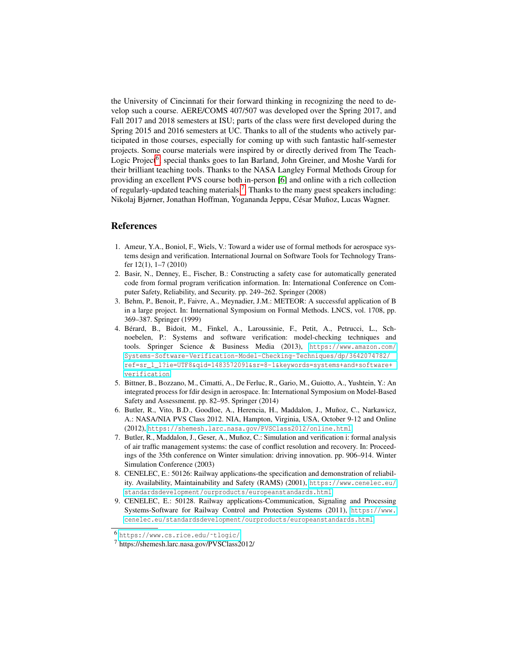the University of Cincinnati for their forward thinking in recognizing the need to develop such a course. AERE/COMS 407/507 was developed over the Spring 2017, and Fall 2017 and 2018 semesters at ISU; parts of the class were first developed during the Spring 2015 and 2016 semesters at UC. Thanks to all of the students who actively participated in those courses, especially for coming up with such fantastic half-semester projects. Some course materials were inspired by or directly derived from The Teach-Logic Project<sup>[6](#page-15-9)</sup>; special thanks goes to Ian Barland, John Greiner, and Moshe Vardi for their brilliant teaching tools. Thanks to the NASA Langley Formal Methods Group for providing an excellent PVS course both in-person [\[6\]](#page-15-7) and online with a rich collection of regularly-updated teaching materials.<sup>[7](#page-15-10)</sup>. Thanks to the many guest speakers including: Nikolaj Bjørner, Jonathan Hoffman, Yogananda Jeppu, César Muñoz, Lucas Wagner.

## References

- <span id="page-15-1"></span>1. Ameur, Y.A., Boniol, F., Wiels, V.: Toward a wider use of formal methods for aerospace systems design and verification. International Journal on Software Tools for Technology Transfer 12(1), 1–7 (2010)
- <span id="page-15-2"></span>2. Basir, N., Denney, E., Fischer, B.: Constructing a safety case for automatically generated code from formal program verification information. In: International Conference on Computer Safety, Reliability, and Security. pp. 249–262. Springer (2008)
- <span id="page-15-6"></span>3. Behm, P., Benoit, P., Faivre, A., Meynadier, J.M.: METEOR: A successful application of B in a large project. In: International Symposium on Formal Methods. LNCS, vol. 1708, pp. 369–387. Springer (1999)
- <span id="page-15-8"></span>4. Berard, B., Bidoit, M., Finkel, A., Laroussinie, F., Petit, A., Petrucci, L., Sch- ´ noebelen, P.: Systems and software verification: model-checking techniques and tools. Springer Science & Business Media (2013), [https://www.amazon.com/](https://www.amazon.com/Systems-Software-Verification-Model-Checking-Techniques/dp/3642074782/ref=sr_1_1?ie=UTF8&qid=1483572091&sr=8-1&keywords=systems+and+software+verification) [Systems-Software-Verification-Model-Checking-Techniques/dp/3642074782/](https://www.amazon.com/Systems-Software-Verification-Model-Checking-Techniques/dp/3642074782/ref=sr_1_1?ie=UTF8&qid=1483572091&sr=8-1&keywords=systems+and+software+verification) [ref=sr\\_1\\_1?ie=UTF8&qid=1483572091&sr=8-1&keywords=systems+and+software+](https://www.amazon.com/Systems-Software-Verification-Model-Checking-Techniques/dp/3642074782/ref=sr_1_1?ie=UTF8&qid=1483572091&sr=8-1&keywords=systems+and+software+verification) [verification](https://www.amazon.com/Systems-Software-Verification-Model-Checking-Techniques/dp/3642074782/ref=sr_1_1?ie=UTF8&qid=1483572091&sr=8-1&keywords=systems+and+software+verification)
- <span id="page-15-0"></span>5. Bittner, B., Bozzano, M., Cimatti, A., De Ferluc, R., Gario, M., Guiotto, A., Yushtein, Y.: An integrated process for fdir design in aerospace. In: International Symposium on Model-Based Safety and Assessmemt. pp. 82–95. Springer (2014)
- <span id="page-15-7"></span>6. Butler, R., Vito, B.D., Goodloe, A., Herencia, H., Maddalon, J., Muñoz, C., Narkawicz, A.: NASA/NIA PVS Class 2012. NIA, Hampton, Virginia, USA, October 9-12 and Online (2012), <https://shemesh.larc.nasa.gov/PVSClass2012/online.html>
- <span id="page-15-3"></span>7. Butler, R., Maddalon, J., Geser, A., Muñoz, C.: Simulation and verification i: formal analysis of air traffic management systems: the case of conflict resolution and recovery. In: Proceedings of the 35th conference on Winter simulation: driving innovation. pp. 906–914. Winter Simulation Conference (2003)
- <span id="page-15-4"></span>8. CENELEC, E.: 50126: Railway applications-the specification and demonstration of reliability. Availability, Maintainability and Safety (RAMS) (2001), [https://www.cenelec.eu/](https://www.cenelec.eu/standardsdevelopment/ourproducts/europeanstandards.html) [standardsdevelopment/ourproducts/europeanstandards.html](https://www.cenelec.eu/standardsdevelopment/ourproducts/europeanstandards.html)
- <span id="page-15-5"></span>9. CENELEC, E.: 50128. Railway applications-Communication, Signaling and Processing Systems-Software for Railway Control and Protection Systems (2011), [https://www.](https://www.cenelec.eu/standardsdevelopment/ourproducts/europeanstandards.html) [cenelec.eu/standardsdevelopment/ourproducts/europeanstandards.html](https://www.cenelec.eu/standardsdevelopment/ourproducts/europeanstandards.html)

<span id="page-15-9"></span><sup>6</sup> [https://www.cs.rice.edu/˜tlogic/](https://www.cs.rice.edu/~tlogic/)

<span id="page-15-10"></span><sup>7</sup> https://shemesh.larc.nasa.gov/PVSClass2012/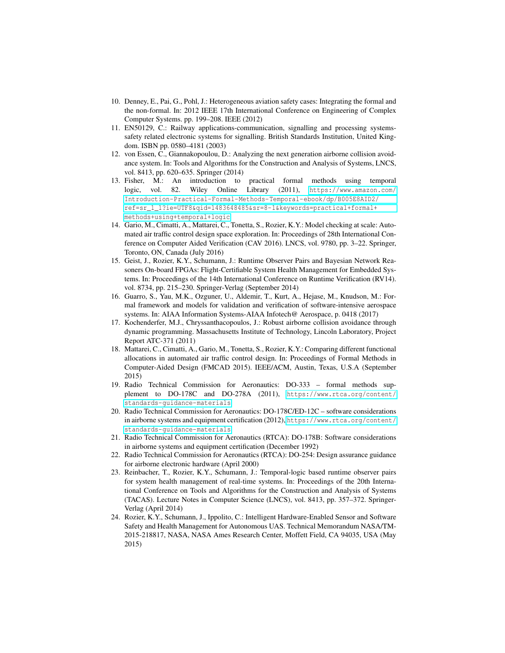- <span id="page-16-10"></span>10. Denney, E., Pai, G., Pohl, J.: Heterogeneous aviation safety cases: Integrating the formal and the non-formal. In: 2012 IEEE 17th International Conference on Engineering of Complex Computer Systems. pp. 199–208. IEEE (2012)
- <span id="page-16-11"></span>11. EN50129, C.: Railway applications-communication, signalling and processing systemssafety related electronic systems for signalling. British Standards Institution, United Kingdom. ISBN pp. 0580–4181 (2003)
- <span id="page-16-14"></span>12. von Essen, C., Giannakopoulou, D.: Analyzing the next generation airborne collision avoidance system. In: Tools and Algorithms for the Construction and Analysis of Systems, LNCS, vol. 8413, pp. 620–635. Springer (2014)
- <span id="page-16-12"></span>13. Fisher, M.: An introduction to practical formal methods using temporal logic, vol. 82. Wiley Online Library (2011), [https://www.amazon.com/](https://www.amazon.com/Introduction-Practical-Formal-Methods-Temporal-ebook/dp/B005E8AID2/ref=sr_1_1?ie=UTF8&qid=1483648485&sr=8-1&keywords=practical+formal+methods+using+temporal+logic) [Introduction-Practical-Formal-Methods-Temporal-ebook/dp/B005E8AID2/](https://www.amazon.com/Introduction-Practical-Formal-Methods-Temporal-ebook/dp/B005E8AID2/ref=sr_1_1?ie=UTF8&qid=1483648485&sr=8-1&keywords=practical+formal+methods+using+temporal+logic) [ref=sr\\_1\\_1?ie=UTF8&qid=1483648485&sr=8-1&keywords=practical+formal+](https://www.amazon.com/Introduction-Practical-Formal-Methods-Temporal-ebook/dp/B005E8AID2/ref=sr_1_1?ie=UTF8&qid=1483648485&sr=8-1&keywords=practical+formal+methods+using+temporal+logic) [methods+using+temporal+logic](https://www.amazon.com/Introduction-Practical-Formal-Methods-Temporal-ebook/dp/B005E8AID2/ref=sr_1_1?ie=UTF8&qid=1483648485&sr=8-1&keywords=practical+formal+methods+using+temporal+logic)
- <span id="page-16-2"></span>14. Gario, M., Cimatti, A., Mattarei, C., Tonetta, S., Rozier, K.Y.: Model checking at scale: Automated air traffic control design space exploration. In: Proceedings of 28th International Conference on Computer Aided Verification (CAV 2016). LNCS, vol. 9780, pp. 3–22. Springer, Toronto, ON, Canada (July 2016)
- <span id="page-16-4"></span>15. Geist, J., Rozier, K.Y., Schumann, J.: Runtime Observer Pairs and Bayesian Network Reasoners On-board FPGAs: Flight-Certifiable System Health Management for Embedded Systems. In: Proceedings of the 14th International Conference on Runtime Verification (RV14). vol. 8734, pp. 215–230. Springer-Verlag (September 2014)
- <span id="page-16-1"></span>16. Guarro, S., Yau, M.K., Ozguner, U., Aldemir, T., Kurt, A., Hejase, M., Knudson, M.: Formal framework and models for validation and verification of software-intensive aerospace systems. In: AIAA Information Systems-AIAA Infotech@ Aerospace, p. 0418 (2017)
- <span id="page-16-13"></span>17. Kochenderfer, M.J., Chryssanthacopoulos, J.: Robust airborne collision avoidance through dynamic programming. Massachusetts Institute of Technology, Lincoln Laboratory, Project Report ATC-371 (2011)
- <span id="page-16-0"></span>18. Mattarei, C., Cimatti, A., Gario, M., Tonetta, S., Rozier, K.Y.: Comparing different functional allocations in automated air traffic control design. In: Proceedings of Formal Methods in Computer-Aided Design (FMCAD 2015). IEEE/ACM, Austin, Texas, U.S.A (September 2015)
- <span id="page-16-8"></span>19. Radio Technical Commission for Aeronautics: DO-333 – formal methods supplement to DO-178C and DO-278A (2011), [https://www.rtca.org/content/](https://www.rtca.org/content/standards-guidance-materials) [standards-guidance-materials](https://www.rtca.org/content/standards-guidance-materials)
- <span id="page-16-7"></span>20. Radio Technical Commission for Aeronautics: DO-178C/ED-12C – software considerations in airborne systems and equipment certification (2012), [https://www.rtca.org/content/](https://www.rtca.org/content/standards-guidance-materials) [standards-guidance-materials](https://www.rtca.org/content/standards-guidance-materials)
- <span id="page-16-6"></span>21. Radio Technical Commission for Aeronautics (RTCA): DO-178B: Software considerations in airborne systems and equipment certification (December 1992)
- <span id="page-16-9"></span>22. Radio Technical Commission for Aeronautics (RTCA): DO-254: Design assurance guidance for airborne electronic hardware (April 2000)
- <span id="page-16-3"></span>23. Reinbacher, T., Rozier, K.Y., Schumann, J.: Temporal-logic based runtime observer pairs for system health management of real-time systems. In: Proceedings of the 20th International Conference on Tools and Algorithms for the Construction and Analysis of Systems (TACAS). Lecture Notes in Computer Science (LNCS), vol. 8413, pp. 357–372. Springer-Verlag (April 2014)
- <span id="page-16-5"></span>24. Rozier, K.Y., Schumann, J., Ippolito, C.: Intelligent Hardware-Enabled Sensor and Software Safety and Health Management for Autonomous UAS. Technical Memorandum NASA/TM-2015-218817, NASA, NASA Ames Research Center, Moffett Field, CA 94035, USA (May 2015)